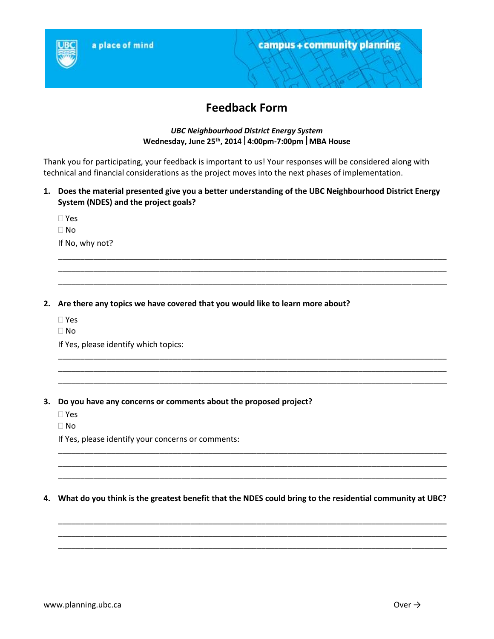

# **Feedback Form**

## *UBC Neighbourhood District Energy System* **Wednesday, June 25th , 20144:00pm-7:00pmMBA House**

Thank you for participating, your feedback is important to us! Your responses will be considered along with technical and financial considerations as the project moves into the next phases of implementation.

**1. Does the material presented give you a better understanding of the UBC Neighbourhood District Energy System (NDES) and the project goals?**

\_\_\_\_\_\_\_\_\_\_\_\_\_\_\_\_\_\_\_\_\_\_\_\_\_\_\_\_\_\_\_\_\_\_\_\_\_\_\_\_\_\_\_\_\_\_\_\_\_\_\_\_\_\_\_\_\_\_\_\_\_\_\_\_\_\_\_\_\_\_\_\_\_\_\_\_\_\_\_\_\_\_\_\_\_\_\_\_ \_\_\_\_\_\_\_\_\_\_\_\_\_\_\_\_\_\_\_\_\_\_\_\_\_\_\_\_\_\_\_\_\_\_\_\_\_\_\_\_\_\_\_\_\_\_\_\_\_\_\_\_\_\_\_\_\_\_\_\_\_\_\_\_\_\_\_\_\_\_\_\_\_\_\_\_\_\_\_\_\_\_\_\_\_\_\_\_ \_\_\_\_\_\_\_\_\_\_\_\_\_\_\_\_\_\_\_\_\_\_\_\_\_\_\_\_\_\_\_\_\_\_\_\_\_\_\_\_\_\_\_\_\_\_\_\_\_\_\_\_\_\_\_\_\_\_\_\_\_\_\_\_\_\_\_\_\_\_\_\_\_\_\_\_\_\_\_\_\_\_\_\_\_\_\_\_

\_\_\_\_\_\_\_\_\_\_\_\_\_\_\_\_\_\_\_\_\_\_\_\_\_\_\_\_\_\_\_\_\_\_\_\_\_\_\_\_\_\_\_\_\_\_\_\_\_\_\_\_\_\_\_\_\_\_\_\_\_\_\_\_\_\_\_\_\_\_\_\_\_\_\_\_\_\_\_\_\_\_\_\_\_\_\_\_ \_\_\_\_\_\_\_\_\_\_\_\_\_\_\_\_\_\_\_\_\_\_\_\_\_\_\_\_\_\_\_\_\_\_\_\_\_\_\_\_\_\_\_\_\_\_\_\_\_\_\_\_\_\_\_\_\_\_\_\_\_\_\_\_\_\_\_\_\_\_\_\_\_\_\_\_\_\_\_\_\_\_\_\_\_\_\_\_ \_\_\_\_\_\_\_\_\_\_\_\_\_\_\_\_\_\_\_\_\_\_\_\_\_\_\_\_\_\_\_\_\_\_\_\_\_\_\_\_\_\_\_\_\_\_\_\_\_\_\_\_\_\_\_\_\_\_\_\_\_\_\_\_\_\_\_\_\_\_\_\_\_\_\_\_\_\_\_\_\_\_\_\_\_\_\_\_

 Yes  $\Box$  No If No, why not?

#### **2. Are there any topics we have covered that you would like to learn more about?**

- Yes
- No

If Yes, please identify which topics:

- **3. Do you have any concerns or comments about the proposed project?**
	- Yes
	- No

If Yes, please identify your concerns or comments:

#### **4. What do you think is the greatest benefit that the NDES could bring to the residential community at UBC?**

\_\_\_\_\_\_\_\_\_\_\_\_\_\_\_\_\_\_\_\_\_\_\_\_\_\_\_\_\_\_\_\_\_\_\_\_\_\_\_\_\_\_\_\_\_\_\_\_\_\_\_\_\_\_\_\_\_\_\_\_\_\_\_\_\_\_\_\_\_\_\_\_\_\_\_\_\_\_\_\_\_\_\_\_\_\_\_\_ \_\_\_\_\_\_\_\_\_\_\_\_\_\_\_\_\_\_\_\_\_\_\_\_\_\_\_\_\_\_\_\_\_\_\_\_\_\_\_\_\_\_\_\_\_\_\_\_\_\_\_\_\_\_\_\_\_\_\_\_\_\_\_\_\_\_\_\_\_\_\_\_\_\_\_\_\_\_\_\_\_\_\_\_\_\_\_\_ \_\_\_\_\_\_\_\_\_\_\_\_\_\_\_\_\_\_\_\_\_\_\_\_\_\_\_\_\_\_\_\_\_\_\_\_\_\_\_\_\_\_\_\_\_\_\_\_\_\_\_\_\_\_\_\_\_\_\_\_\_\_\_\_\_\_\_\_\_\_\_\_\_\_\_\_\_\_\_\_\_\_\_\_\_\_\_\_

\_\_\_\_\_\_\_\_\_\_\_\_\_\_\_\_\_\_\_\_\_\_\_\_\_\_\_\_\_\_\_\_\_\_\_\_\_\_\_\_\_\_\_\_\_\_\_\_\_\_\_\_\_\_\_\_\_\_\_\_\_\_\_\_\_\_\_\_\_\_\_\_\_\_\_\_\_\_\_\_\_\_\_\_\_\_\_\_ \_\_\_\_\_\_\_\_\_\_\_\_\_\_\_\_\_\_\_\_\_\_\_\_\_\_\_\_\_\_\_\_\_\_\_\_\_\_\_\_\_\_\_\_\_\_\_\_\_\_\_\_\_\_\_\_\_\_\_\_\_\_\_\_\_\_\_\_\_\_\_\_\_\_\_\_\_\_\_\_\_\_\_\_\_\_\_\_ \_\_\_\_\_\_\_\_\_\_\_\_\_\_\_\_\_\_\_\_\_\_\_\_\_\_\_\_\_\_\_\_\_\_\_\_\_\_\_\_\_\_\_\_\_\_\_\_\_\_\_\_\_\_\_\_\_\_\_\_\_\_\_\_\_\_\_\_\_\_\_\_\_\_\_\_\_\_\_\_\_\_\_\_\_\_\_\_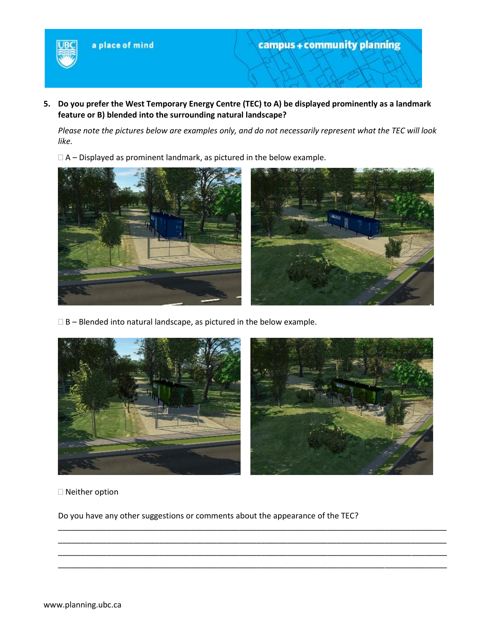

**5. Do you prefer the West Temporary Energy Centre (TEC) to A) be displayed prominently as a landmark feature or B) blended into the surrounding natural landscape?**

*Please note the pictures below are examples only, and do not necessarily represent what the TEC will look like.*

 $\Box$  A – Displayed as prominent landmark, as pictured in the below example.



 $\square$  B – Blended into natural landscape, as pictured in the below example.



\_\_\_\_\_\_\_\_\_\_\_\_\_\_\_\_\_\_\_\_\_\_\_\_\_\_\_\_\_\_\_\_\_\_\_\_\_\_\_\_\_\_\_\_\_\_\_\_\_\_\_\_\_\_\_\_\_\_\_\_\_\_\_\_\_\_\_\_\_\_\_\_\_\_\_\_\_\_\_\_\_\_\_\_\_\_\_\_ \_\_\_\_\_\_\_\_\_\_\_\_\_\_\_\_\_\_\_\_\_\_\_\_\_\_\_\_\_\_\_\_\_\_\_\_\_\_\_\_\_\_\_\_\_\_\_\_\_\_\_\_\_\_\_\_\_\_\_\_\_\_\_\_\_\_\_\_\_\_\_\_\_\_\_\_\_\_\_\_\_\_\_\_\_\_\_\_ \_\_\_\_\_\_\_\_\_\_\_\_\_\_\_\_\_\_\_\_\_\_\_\_\_\_\_\_\_\_\_\_\_\_\_\_\_\_\_\_\_\_\_\_\_\_\_\_\_\_\_\_\_\_\_\_\_\_\_\_\_\_\_\_\_\_\_\_\_\_\_\_\_\_\_\_\_\_\_\_\_\_\_\_\_\_\_\_ \_\_\_\_\_\_\_\_\_\_\_\_\_\_\_\_\_\_\_\_\_\_\_\_\_\_\_\_\_\_\_\_\_\_\_\_\_\_\_\_\_\_\_\_\_\_\_\_\_\_\_\_\_\_\_\_\_\_\_\_\_\_\_\_\_\_\_\_\_\_\_\_\_\_\_\_\_\_\_\_\_\_\_\_\_\_\_\_

Neither option

Do you have any other suggestions or comments about the appearance of the TEC?